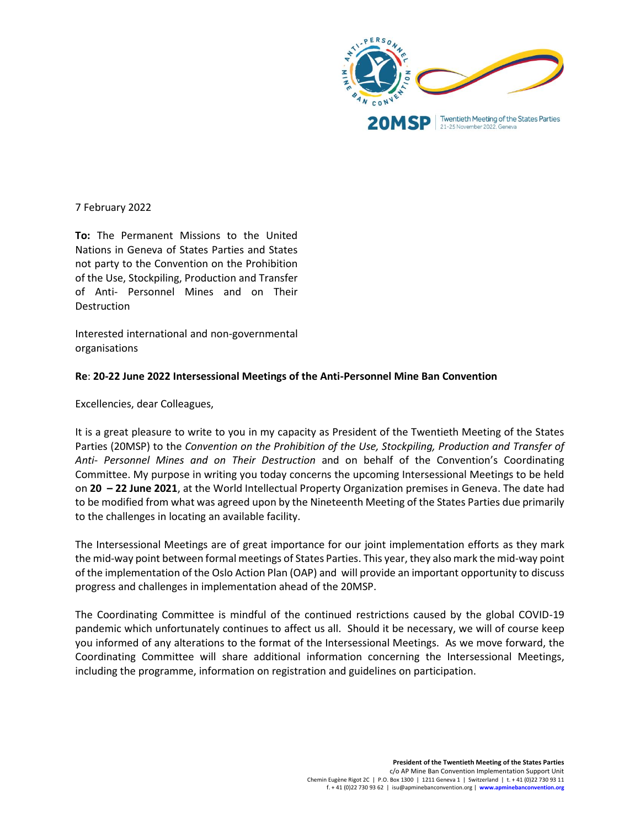

7 February 2022

**To:** The Permanent Missions to the United Nations in Geneva of States Parties and States not party to the Convention on the Prohibition of the Use, Stockpiling, Production and Transfer of Anti- Personnel Mines and on Their **Destruction** 

Interested international and non-governmental organisations

## **Re**: **20-22 June 2022 Intersessional Meetings of the Anti-Personnel Mine Ban Convention**

Excellencies, dear Colleagues,

It is a great pleasure to write to you in my capacity as President of the Twentieth Meeting of the States Parties (20MSP) to the *Convention on the Prohibition of the Use, Stockpiling, Production and Transfer of Anti- Personnel Mines and on Their Destruction* and on behalf of the Convention's Coordinating Committee. My purpose in writing you today concerns the upcoming Intersessional Meetings to be held on **20 – 22 June 2021**, at the World Intellectual Property Organization premises in Geneva. The date had to be modified from what was agreed upon by the Nineteenth Meeting of the States Parties due primarily to the challenges in locating an available facility.

The Intersessional Meetings are of great importance for our joint implementation efforts as they mark the mid-way point between formal meetings of States Parties. This year, they also mark the mid-way point of the implementation of the Oslo Action Plan (OAP) and will provide an important opportunity to discuss progress and challenges in implementation ahead of the 20MSP.

The Coordinating Committee is mindful of the continued restrictions caused by the global COVID-19 pandemic which unfortunately continues to affect us all. Should it be necessary, we will of course keep you informed of any alterations to the format of the Intersessional Meetings. As we move forward, the Coordinating Committee will share additional information concerning the Intersessional Meetings, including the programme, information on registration and guidelines on participation.